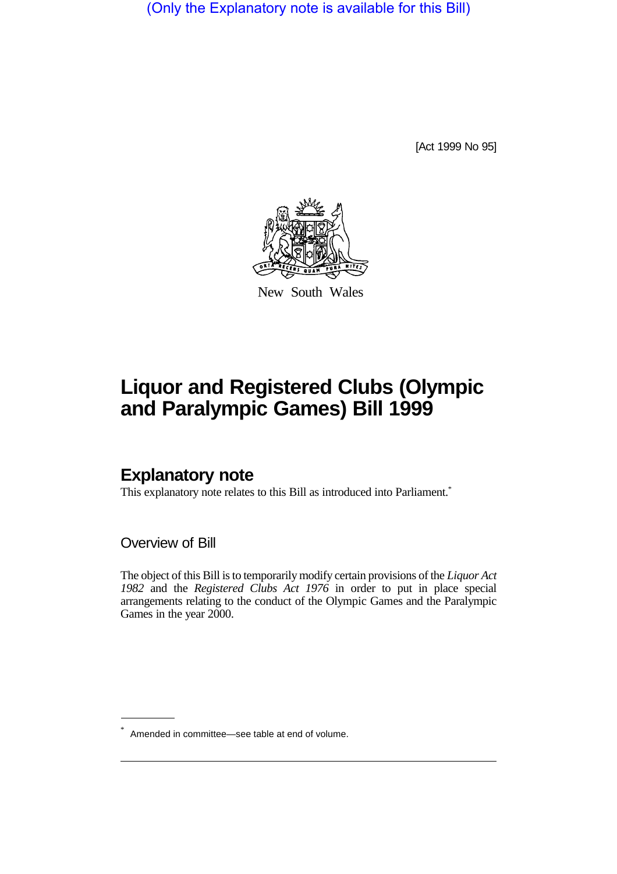(Only the Explanatory note is available for this Bill)

[Act 1999 No 95]



New South Wales

# **Liquor and Registered Clubs (Olympic and Paralympic Games) Bill 1999**

# **Explanatory note**

This explanatory note relates to this Bill as introduced into Parliament.<sup>\*</sup>

Overview of Bill

The object of this Bill is to temporarily modify certain provisions of the *Liquor Act 1982* and the *Registered Clubs Act 1976* in order to put in place special arrangements relating to the conduct of the Olympic Games and the Paralympic Games in the year 2000.

<sup>\*</sup> Amended in committee—see table at end of volume.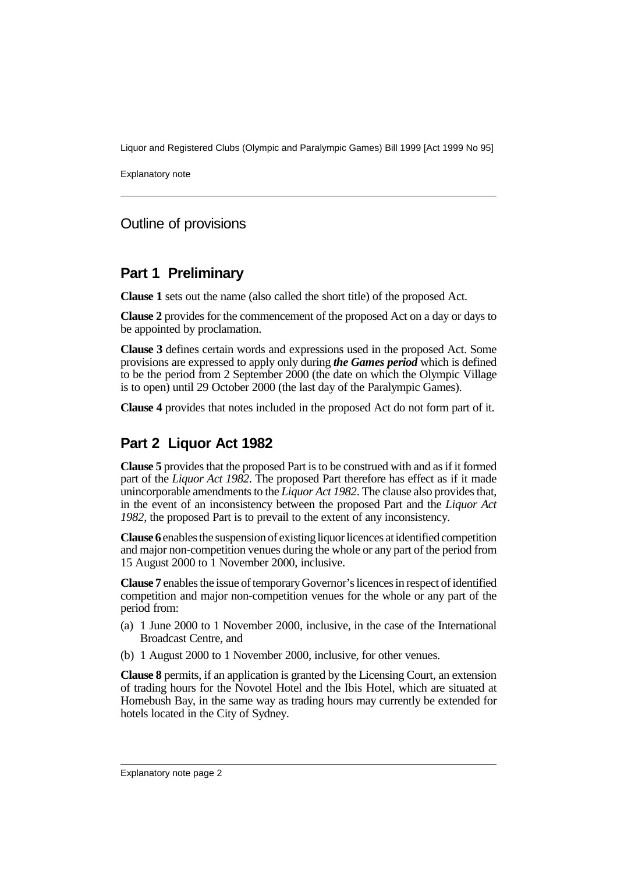Liquor and Registered Clubs (Olympic and Paralympic Games) Bill 1999 [Act 1999 No 95]

Explanatory note

# Outline of provisions

# **Part 1 Preliminary**

**Clause 1** sets out the name (also called the short title) of the proposed Act.

**Clause 2** provides for the commencement of the proposed Act on a day or days to be appointed by proclamation.

**Clause 3** defines certain words and expressions used in the proposed Act. Some provisions are expressed to apply only during *the Games period* which is defined to be the period from 2 September 2000 (the date on which the Olympic Village is to open) until 29 October 2000 (the last day of the Paralympic Games).

**Clause 4** provides that notes included in the proposed Act do not form part of it.

# **Part 2 Liquor Act 1982**

**Clause 5** provides that the proposed Part is to be construed with and as if it formed part of the *Liquor Act 1982*. The proposed Part therefore has effect as if it made unincorporable amendments to the *Liquor Act 1982*. The clause also provides that, in the event of an inconsistency between the proposed Part and the *Liquor Act 1982*, the proposed Part is to prevail to the extent of any inconsistency.

**Clause 6** enables the suspension of existing liquor licences at identified competition and major non-competition venues during the whole or any part of the period from 15 August 2000 to 1 November 2000, inclusive.

**Clause 7** enables the issue of temporary Governor's licences in respect of identified competition and major non-competition venues for the whole or any part of the period from:

- (a) 1 June 2000 to 1 November 2000, inclusive, in the case of the International Broadcast Centre, and
- (b) 1 August 2000 to 1 November 2000, inclusive, for other venues.

**Clause 8** permits, if an application is granted by the Licensing Court, an extension of trading hours for the Novotel Hotel and the Ibis Hotel, which are situated at Homebush Bay, in the same way as trading hours may currently be extended for hotels located in the City of Sydney.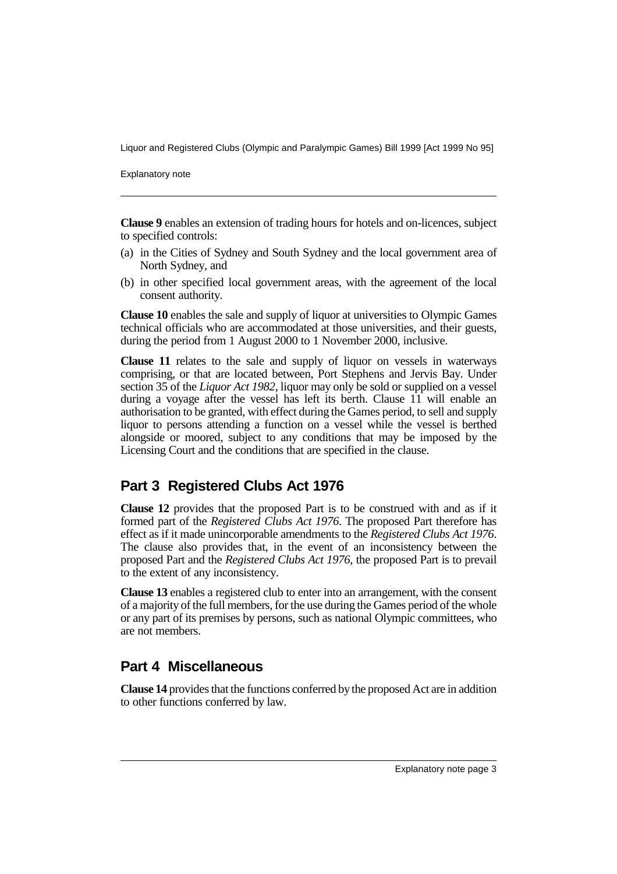Liquor and Registered Clubs (Olympic and Paralympic Games) Bill 1999 [Act 1999 No 95]

Explanatory note

**Clause 9** enables an extension of trading hours for hotels and on-licences, subject to specified controls:

- (a) in the Cities of Sydney and South Sydney and the local government area of North Sydney, and
- (b) in other specified local government areas, with the agreement of the local consent authority.

**Clause 10** enables the sale and supply of liquor at universities to Olympic Games technical officials who are accommodated at those universities, and their guests, during the period from 1 August 2000 to 1 November 2000, inclusive.

**Clause 11** relates to the sale and supply of liquor on vessels in waterways comprising, or that are located between, Port Stephens and Jervis Bay. Under section 35 of the *Liquor Act 1982*, liquor may only be sold or supplied on a vessel during a voyage after the vessel has left its berth. Clause 11 will enable an authorisation to be granted, with effect during the Games period, to sell and supply liquor to persons attending a function on a vessel while the vessel is berthed alongside or moored, subject to any conditions that may be imposed by the Licensing Court and the conditions that are specified in the clause.

# **Part 3 Registered Clubs Act 1976**

**Clause 12** provides that the proposed Part is to be construed with and as if it formed part of the *Registered Clubs Act 1976*. The proposed Part therefore has effect as if it made unincorporable amendments to the *Registered Clubs Act 1976*. The clause also provides that, in the event of an inconsistency between the proposed Part and the *Registered Clubs Act 1976*, the proposed Part is to prevail to the extent of any inconsistency.

**Clause 13** enables a registered club to enter into an arrangement, with the consent of a majority of the full members, for the use during the Games period of the whole or any part of its premises by persons, such as national Olympic committees, who are not members.

# **Part 4 Miscellaneous**

**Clause 14** provides that the functions conferred by the proposed Act are in addition to other functions conferred by law.